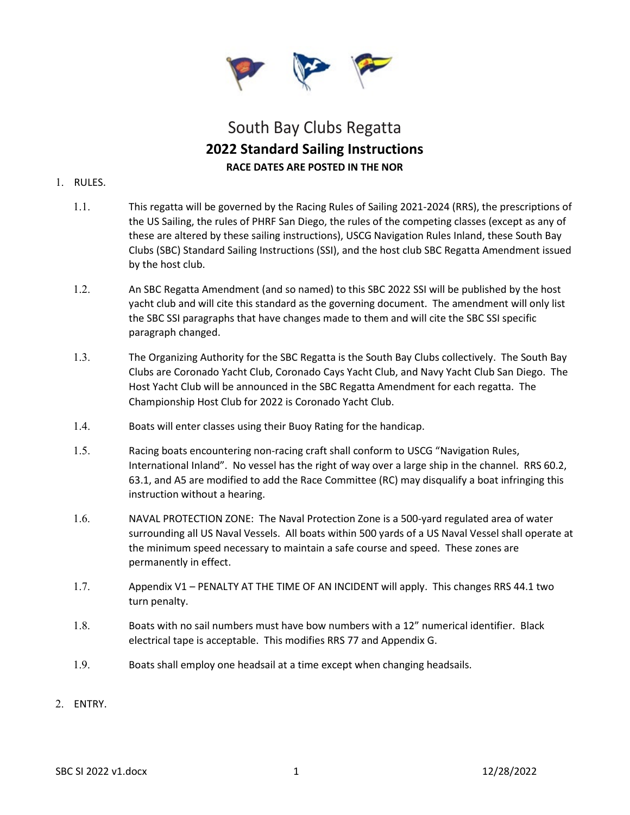

# South Bay Clubs Regatta **2022 Standard Sailing Instructions RACE DATES ARE POSTED IN THE NOR**

#### 1. RULES.

- 1.1. This regatta will be governed by the Racing Rules of Sailing 2021-2024 (RRS), the prescriptions of the US Sailing, the rules of PHRF San Diego, the rules of the competing classes (except as any of these are altered by these sailing instructions), USCG Navigation Rules Inland, these South Bay Clubs (SBC) Standard Sailing Instructions (SSI), and the host club SBC Regatta Amendment issued by the host club.
- 1.2. An SBC Regatta Amendment (and so named) to this SBC 2022 SSI will be published by the host yacht club and will cite this standard as the governing document. The amendment will only list the SBC SSI paragraphs that have changes made to them and will cite the SBC SSI specific paragraph changed.
- 1.3. The Organizing Authority for the SBC Regatta is the South Bay Clubs collectively. The South Bay Clubs are Coronado Yacht Club, Coronado Cays Yacht Club, and Navy Yacht Club San Diego. The Host Yacht Club will be announced in the SBC Regatta Amendment for each regatta. The Championship Host Club for 2022 is Coronado Yacht Club.
- 1.4. Boats will enter classes using their Buoy Rating for the handicap.
- 1.5. Racing boats encountering non-racing craft shall conform to USCG "Navigation Rules, International Inland". No vessel has the right of way over a large ship in the channel. RRS 60.2, 63.1, and A5 are modified to add the Race Committee (RC) may disqualify a boat infringing this instruction without a hearing.
- 1.6. NAVAL PROTECTION ZONE: The Naval Protection Zone is a 500-yard regulated area of water surrounding all US Naval Vessels. All boats within 500 yards of a US Naval Vessel shall operate at the minimum speed necessary to maintain a safe course and speed. These zones are permanently in effect.
- 1.7. Appendix V1 PENALTY AT THE TIME OF AN INCIDENT will apply. This changes RRS 44.1 two turn penalty.
- 1.8. Boats with no sail numbers must have bow numbers with a 12" numerical identifier. Black electrical tape is acceptable. This modifies RRS 77 and Appendix G.
- 1.9. Boats shall employ one headsail at a time except when changing headsails.
- 2. ENTRY.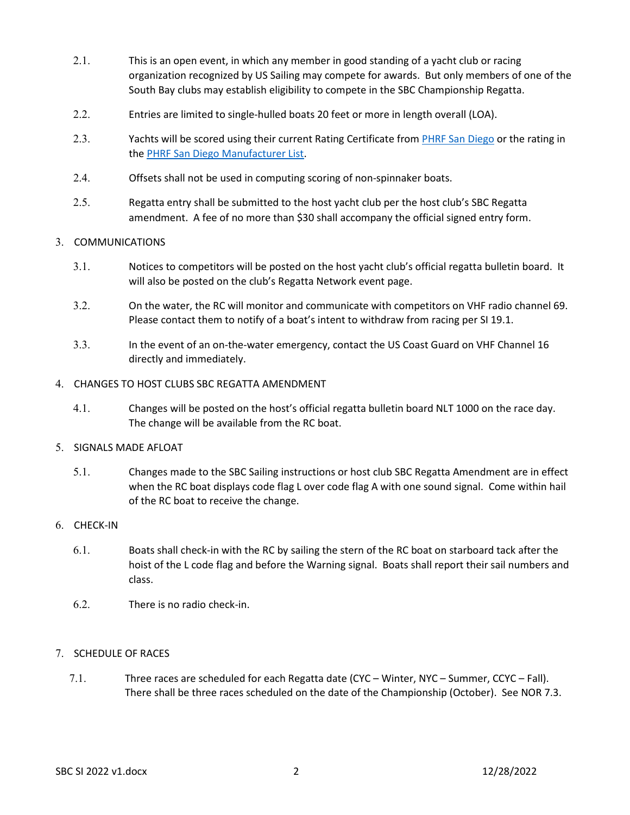- 2.1. This is an open event, in which any member in good standing of a yacht club or racing organization recognized by US Sailing may compete for awards. But only members of one of the South Bay clubs may establish eligibility to compete in the SBC Championship Regatta.
- 2.2. Entries are limited to single-hulled boats 20 feet or more in length overall (LOA).
- 2.3. Yachts will be scored using their current Rating Certificate from [PHRF San Diego](about:blank) or the rating in th[e PHRF San Diego Manufacturer List.](about:blank)
- 2.4. Offsets shall not be used in computing scoring of non-spinnaker boats.
- 2.5. Regatta entry shall be submitted to the host yacht club per the host club's SBC Regatta amendment. A fee of no more than \$30 shall accompany the official signed entry form.

#### 3. COMMUNICATIONS

- 3.1. Notices to competitors will be posted on the host yacht club's official regatta bulletin board. It will also be posted on the club's Regatta Network event page.
- 3.2. On the water, the RC will monitor and communicate with competitors on VHF radio channel 69. Please contact them to notify of a boat's intent to withdraw from racing per SI 19.1.
- 3.3. In the event of an on-the-water emergency, contact the US Coast Guard on VHF Channel 16 directly and immediately.

#### 4. CHANGES TO HOST CLUBS SBC REGATTA AMENDMENT

4.1. Changes will be posted on the host's official regatta bulletin board NLT 1000 on the race day. The change will be available from the RC boat.

#### 5. SIGNALS MADE AFLOAT

5.1. Changes made to the SBC Sailing instructions or host club SBC Regatta Amendment are in effect when the RC boat displays code flag L over code flag A with one sound signal. Come within hail of the RC boat to receive the change.

#### 6. CHECK-IN

- 6.1. Boats shall check-in with the RC by sailing the stern of the RC boat on starboard tack after the hoist of the L code flag and before the Warning signal. Boats shall report their sail numbers and class.
- 6.2. There is no radio check-in.

# 7. SCHEDULE OF RACES

7.1. Three races are scheduled for each Regatta date (CYC – Winter, NYC – Summer, CCYC – Fall). There shall be three races scheduled on the date of the Championship (October). See NOR 7.3.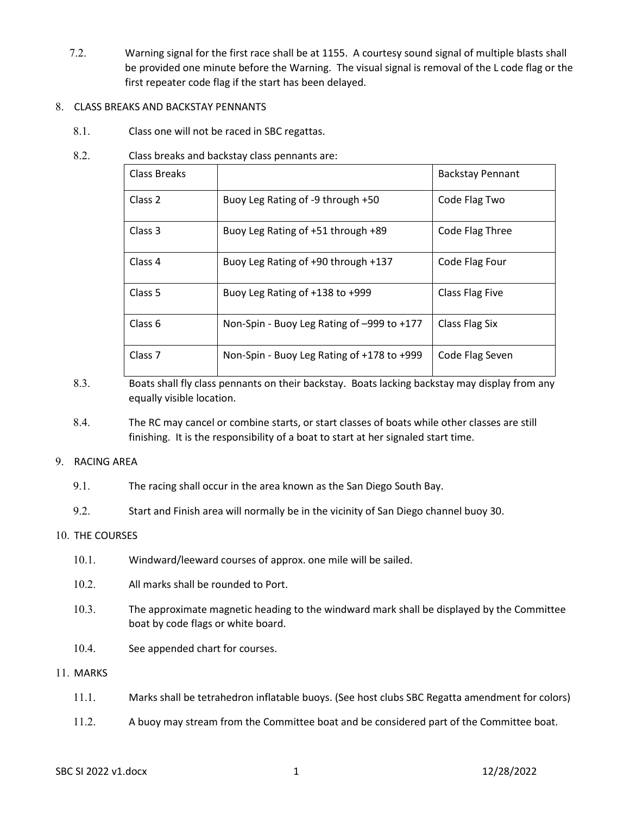7.2. Warning signal for the first race shall be at 1155. A courtesy sound signal of multiple blasts shall be provided one minute before the Warning. The visual signal is removal of the L code flag or the first repeater code flag if the start has been delayed.

#### 8. CLASS BREAKS AND BACKSTAY PENNANTS

8.1. Class one will not be raced in SBC regattas.

# 8.2. Class breaks and backstay class pennants are:

| Class Breaks       |                                            | <b>Backstay Pennant</b> |
|--------------------|--------------------------------------------|-------------------------|
| Class 2            | Buoy Leg Rating of -9 through +50          | Code Flag Two           |
| Class 3            | Buoy Leg Rating of +51 through +89         | Code Flag Three         |
| Class 4            | Buoy Leg Rating of +90 through +137        | Code Flag Four          |
| Class 5            | Buoy Leg Rating of +138 to +999            | Class Flag Five         |
| Class 6            | Non-Spin - Buoy Leg Rating of -999 to +177 | Class Flag Six          |
| Class <sub>7</sub> | Non-Spin - Buoy Leg Rating of +178 to +999 | Code Flag Seven         |

- 8.3. Boats shall fly class pennants on their backstay. Boats lacking backstay may display from any equally visible location.
- 8.4. The RC may cancel or combine starts, or start classes of boats while other classes are still finishing. It is the responsibility of a boat to start at her signaled start time.

#### 9. RACING AREA

9.1. The racing shall occur in the area known as the San Diego South Bay.

9.2. Start and Finish area will normally be in the vicinity of San Diego channel buoy 30.

#### 10. THE COURSES

- 10.1. Windward/leeward courses of approx. one mile will be sailed.
- 10.2. All marks shall be rounded to Port.
- 10.3. The approximate magnetic heading to the windward mark shall be displayed by the Committee boat by code flags or white board.
- 10.4. See appended chart for courses.

#### 11. MARKS

- 11.1. Marks shall be tetrahedron inflatable buoys. (See host clubs SBC Regatta amendment for colors)
- 11.2. A buoy may stream from the Committee boat and be considered part of the Committee boat.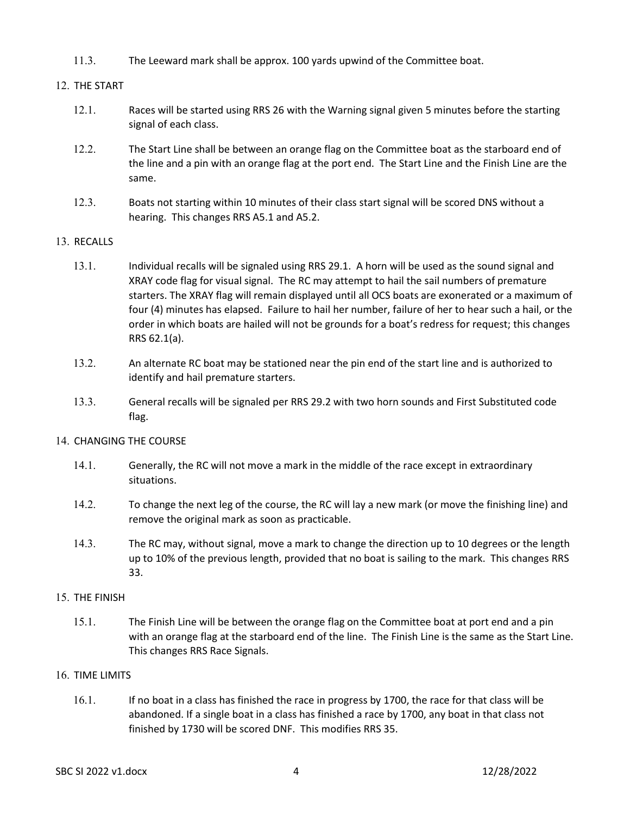11.3. The Leeward mark shall be approx. 100 yards upwind of the Committee boat.

# 12. THE START

- 12.1. Races will be started using RRS 26 with the Warning signal given 5 minutes before the starting signal of each class.
- 12.2. The Start Line shall be between an orange flag on the Committee boat as the starboard end of the line and a pin with an orange flag at the port end. The Start Line and the Finish Line are the same.
- 12.3. Boats not starting within 10 minutes of their class start signal will be scored DNS without a hearing. This changes RRS A5.1 and A5.2.

#### 13. RECALLS

- 13.1. Individual recalls will be signaled using RRS 29.1. A horn will be used as the sound signal and XRAY code flag for visual signal. The RC may attempt to hail the sail numbers of premature starters. The XRAY flag will remain displayed until all OCS boats are exonerated or a maximum of four (4) minutes has elapsed. Failure to hail her number, failure of her to hear such a hail, or the order in which boats are hailed will not be grounds for a boat's redress for request; this changes RRS 62.1(a).
- 13.2. An alternate RC boat may be stationed near the pin end of the start line and is authorized to identify and hail premature starters.
- 13.3. General recalls will be signaled per RRS 29.2 with two horn sounds and First Substituted code flag.

#### 14. CHANGING THE COURSE

- 14.1. Generally, the RC will not move a mark in the middle of the race except in extraordinary situations.
- 14.2. To change the next leg of the course, the RC will lay a new mark (or move the finishing line) and remove the original mark as soon as practicable.
- 14.3. The RC may, without signal, move a mark to change the direction up to 10 degrees or the length up to 10% of the previous length, provided that no boat is sailing to the mark. This changes RRS 33.

#### 15. THE FINISH

15.1. The Finish Line will be between the orange flag on the Committee boat at port end and a pin with an orange flag at the starboard end of the line. The Finish Line is the same as the Start Line. This changes RRS Race Signals.

#### 16. TIME LIMITS

16.1. If no boat in a class has finished the race in progress by 1700, the race for that class will be abandoned. If a single boat in a class has finished a race by 1700, any boat in that class not finished by 1730 will be scored DNF. This modifies RRS 35.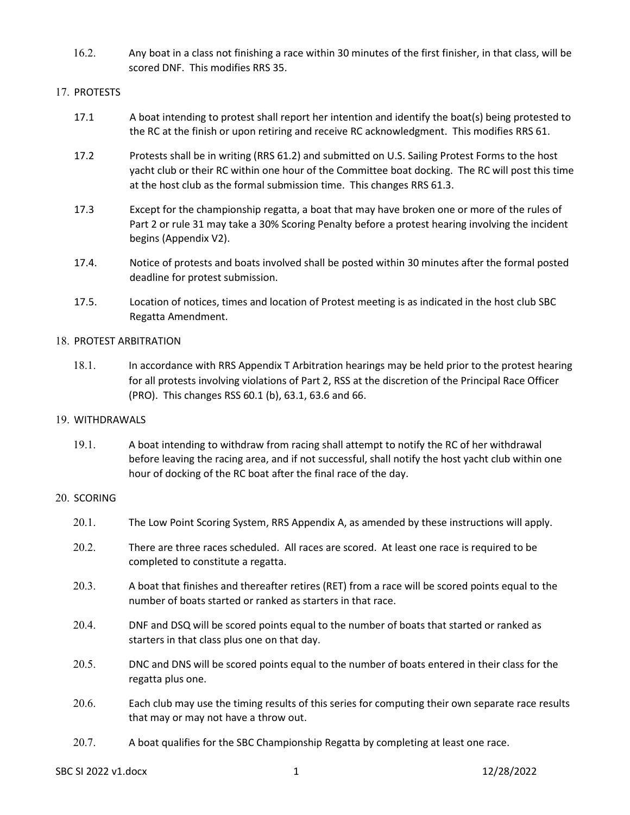16.2. Any boat in a class not finishing a race within 30 minutes of the first finisher, in that class, will be scored DNF. This modifies RRS 35.

# 17. PROTESTS

- 17.1 A boat intending to protest shall report her intention and identify the boat(s) being protested to the RC at the finish or upon retiring and receive RC acknowledgment. This modifies RRS 61.
- 17.2 Protests shall be in writing (RRS 61.2) and submitted on U.S. Sailing Protest Forms to the host yacht club or their RC within one hour of the Committee boat docking. The RC will post this time at the host club as the formal submission time. This changes RRS 61.3.
- 17.3 Except for the championship regatta, a boat that may have broken one or more of the rules of Part 2 or rule 31 may take a 30% Scoring Penalty before a protest hearing involving the incident begins (Appendix V2).
- 17.4. Notice of protests and boats involved shall be posted within 30 minutes after the formal posted deadline for protest submission.
- 17.5. Location of notices, times and location of Protest meeting is as indicated in the host club SBC Regatta Amendment.

#### 18. PROTEST ARBITRATION

18.1. In accordance with RRS Appendix T Arbitration hearings may be held prior to the protest hearing for all protests involving violations of Part 2, RSS at the discretion of the Principal Race Officer (PRO). This changes RSS 60.1 (b), 63.1, 63.6 and 66.

#### 19. WITHDRAWALS

19.1. A boat intending to withdraw from racing shall attempt to notify the RC of her withdrawal before leaving the racing area, and if not successful, shall notify the host yacht club within one hour of docking of the RC boat after the final race of the day.

# 20. SCORING

- 20.1. The Low Point Scoring System, RRS Appendix A, as amended by these instructions will apply.
- 20.2. There are three races scheduled. All races are scored. At least one race is required to be completed to constitute a regatta.
- 20.3. A boat that finishes and thereafter retires (RET) from a race will be scored points equal to the number of boats started or ranked as starters in that race.
- 20.4. DNF and DSQ will be scored points equal to the number of boats that started or ranked as starters in that class plus one on that day.
- 20.5. DNC and DNS will be scored points equal to the number of boats entered in their class for the regatta plus one.
- 20.6. Each club may use the timing results of this series for computing their own separate race results that may or may not have a throw out.
- 20.7. A boat qualifies for the SBC Championship Regatta by completing at least one race.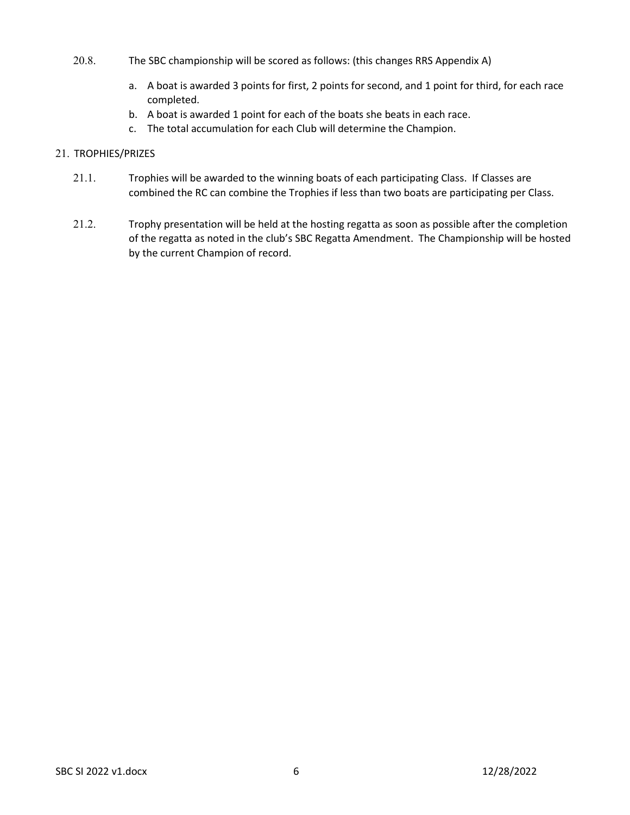- 20.8. The SBC championship will be scored as follows: (this changes RRS Appendix A)
	- a. A boat is awarded 3 points for first, 2 points for second, and 1 point for third, for each race completed.
	- b. A boat is awarded 1 point for each of the boats she beats in each race.
	- c. The total accumulation for each Club will determine the Champion.

# 21. TROPHIES/PRIZES

- 21.1. Trophies will be awarded to the winning boats of each participating Class. If Classes are combined the RC can combine the Trophies if less than two boats are participating per Class.
- 21.2. Trophy presentation will be held at the hosting regatta as soon as possible after the completion of the regatta as noted in the club's SBC Regatta Amendment. The Championship will be hosted by the current Champion of record.